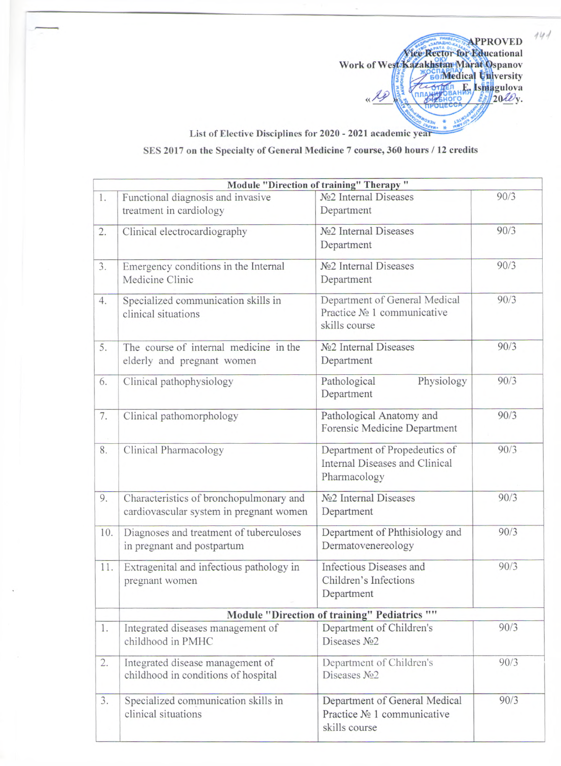APPROVED Work of West Kazakhstan Marat Ospanov **PERMedical University OTHER E. ISMAgulova** «Re  $\frac{20}{20}$ **OTO** 

 $444$ 

List of Elective Disciplines for 2020 - 2021 academic year SES 2017 on the Specialty of General Medicine 7 course, 360 hours / 12 credits

|     |                                                                                    | Module "Direction of training" Therapy "                                        |      |
|-----|------------------------------------------------------------------------------------|---------------------------------------------------------------------------------|------|
| 1.  | Functional diagnosis and invasive<br>treatment in cardiology                       | No <sub>2</sub> Internal Diseases<br>Department                                 | 90/3 |
| 2.  | Clinical electrocardiography                                                       | No <sub>2</sub> Internal Diseases<br>Department                                 | 90/3 |
| 3.  | Emergency conditions in the Internal<br>Medicine Clinic                            | N <sup>o</sup> 2 Internal Diseases<br>Department                                | 90/3 |
| 4.  | Specialized communication skills in<br>clinical situations                         | Department of General Medical<br>Practice Nº 1 communicative<br>skills course   | 90/3 |
| 5.  | The course of internal medicine in the<br>elderly and pregnant women               | Nº <sub>2</sub> Internal Diseases<br>Department                                 | 90/3 |
| 6.  | Clinical pathophysiology                                                           | Physiology<br>Pathological<br>Department                                        | 90/3 |
| 7.  | Clinical pathomorphology                                                           | Pathological Anatomy and<br>Forensic Medicine Department                        | 90/3 |
| 8.  | Clinical Pharmacology                                                              | Department of Propedeutics of<br>Internal Diseases and Clinical<br>Pharmacology | 90/3 |
| 9.  | Characteristics of bronchopulmonary and<br>cardiovascular system in pregnant women | N <sup>o</sup> 2 Internal Diseases<br>Department                                | 90/3 |
| 10. | Diagnoses and treatment of tuberculoses<br>in pregnant and postpartum              | Department of Phthisiology and<br>Dermatovenereology                            | 90/3 |
| 11. | Extragenital and infectious pathology in<br>pregnant women                         | Infectious Diseases and<br>Children's Infections<br>Department                  | 90/3 |
|     |                                                                                    | Module "Direction of training" Pediatrics ""                                    |      |
| 1.  | Integrated diseases management of<br>childhood in PMHC                             | Department of Children's<br>Diseases No <sub>2</sub>                            | 90/3 |
| 2.  | Integrated disease management of<br>childhood in conditions of hospital            | Department of Children's<br>Diseases No <sub>2</sub>                            | 90/3 |
| 3.  | Specialized communication skills in<br>clinical situations                         | Department of General Medical<br>Practice No 1 communicative<br>skills course   | 90/3 |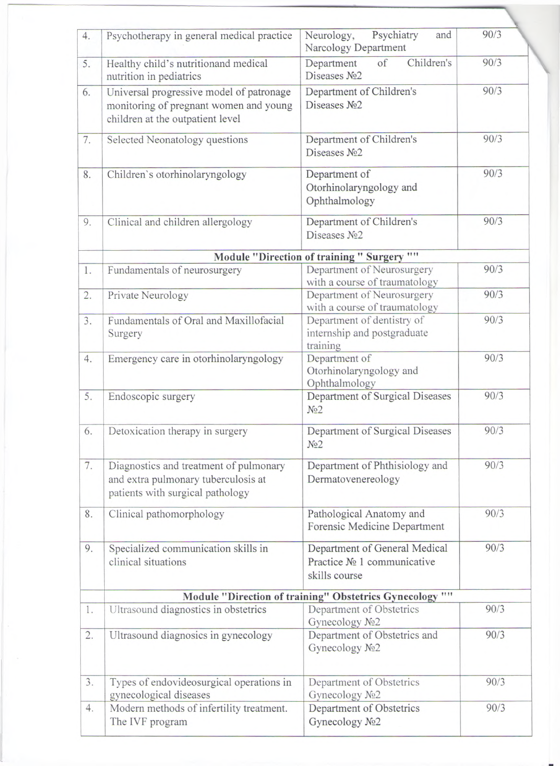| 4. | Psychotherapy in general medical practice                                                                              | Psychiatry<br>Neurology,<br>and<br>Narcology Department                      | 90/3 |
|----|------------------------------------------------------------------------------------------------------------------------|------------------------------------------------------------------------------|------|
| 5. | Healthy child's nutritionand medical<br>nutrition in pediatrics                                                        | Children's<br>of<br>Department<br>Diseases No <sub>2</sub>                   | 90/3 |
| 6. | Universal progressive model of patronage<br>monitoring of pregnant women and young<br>children at the outpatient level | Department of Children's<br>Diseases No <sub>2</sub>                         | 90/3 |
| 7. | Selected Neonatology questions                                                                                         | Department of Children's<br>Diseases No <sub>2</sub>                         | 90/3 |
| 8. | Children's otorhinolaryngology                                                                                         | Department of<br>Otorhinolaryngology and<br>Ophthalmology                    | 90/3 |
| 9. | Clinical and children allergology                                                                                      | Department of Children's<br>Diseases No <sub>2</sub>                         | 90/3 |
|    |                                                                                                                        | Module "Direction of training " Surgery ""                                   |      |
| 1. | Fundamentals of neurosurgery                                                                                           | Department of Neurosurgery<br>with a course of traumatology                  | 90/3 |
| 2. | Private Neurology                                                                                                      | Department of Neurosurgery<br>with a course of traumatology                  | 90/3 |
| 3. | Fundamentals of Oral and Maxillofacial<br>Surgery                                                                      | Department of dentistry of<br>internship and postgraduate<br>training        | 90/3 |
| 4. | Emergency care in otorhinolaryngology                                                                                  | Department of<br>Otorhinolaryngology and<br>Ophthalmology                    | 90/3 |
| 5. | Endoscopic surgery                                                                                                     | Department of Surgical Diseases<br>N <sub>2</sub>                            | 90/3 |
| 6. | Detoxication therapy in surgery                                                                                        | Department of Surgical Diseases<br>N <sub>2</sub>                            | 90/3 |
| 7. | Diagnostics and treatment of pulmonary<br>and extra pulmonary tuberculosis at<br>patients with surgical pathology      | Department of Phthisiology and<br>Dermatovenereology                         | 90/3 |
| 8. | Clinical pathomorphology                                                                                               | Pathological Anatomy and<br>Forensic Medicine Department                     | 90/3 |
| 9. | Specialized communication skills in<br>clinical situations                                                             | Department of General Medical<br>Practice № 1 communicative<br>skills course | 90/3 |
|    |                                                                                                                        | Module "Direction of training" Obstetrics Gynecology ""                      |      |
| 1. | Ultrasound diagnostics in obstetrics                                                                                   | Department of Obstetrics<br>Gynecology No2                                   | 90/3 |
| 2. | Ultrasound diagnosics in gynecology                                                                                    | Department of Obstetrics and<br>Gynecology No <sub>2</sub>                   | 90/3 |
| 3. | Types of endovideosurgical operations in<br>gynecological diseases                                                     | Department of Obstetrics<br>Gynecology No2                                   | 90/3 |
| 4. | Modern methods of infertility treatment.<br>The IVF program                                                            | Department of Obstetrics<br>Gynecology No2                                   | 90/3 |